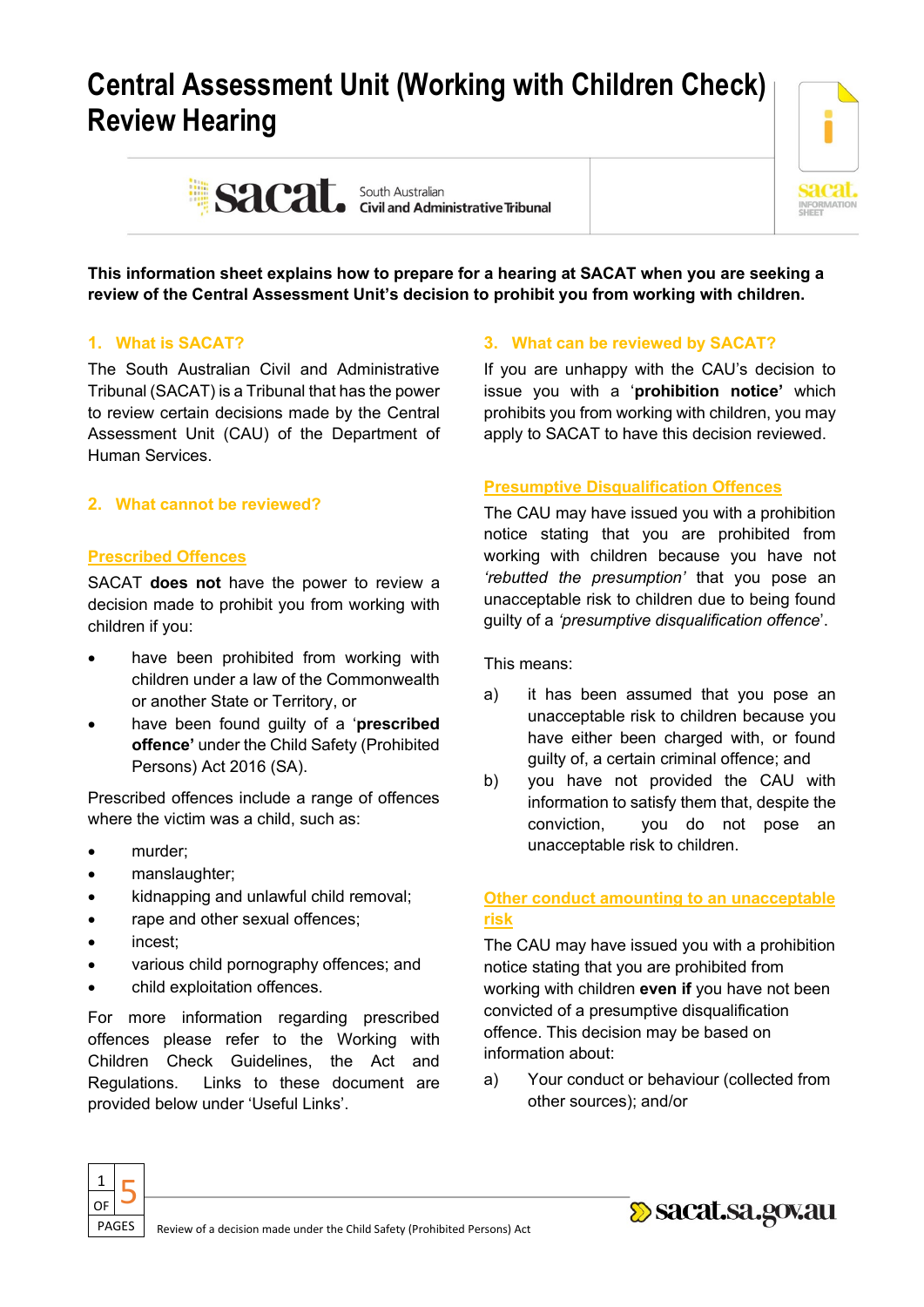# **Central Assessment Unit (Working with Children Check) Review Hearing**



Sacat. South Australian Sacarity Sacation

**This information sheet explains how to prepare for a hearing at SACAT when you are seeking a review of the Central Assessment Unit's decision to prohibit you from working with children.**

# **1. What is SACAT?**

The South Australian Civil and Administrative Tribunal (SACAT) is a Tribunal that has the power to review certain decisions made by the Central Assessment Unit (CAU) of the Department of Human Services.

# **2. What cannot be reviewed?**

# **Prescribed Offences**

SACAT **does not** have the power to review a decision made to prohibit you from working with children if you:

- have been prohibited from working with children under a law of the Commonwealth or another State or Territory, or
- have been found guilty of a '**prescribed offence'** under the Child Safety (Prohibited Persons) Act 2016 (SA).

Prescribed offences include a range of offences where the victim was a child, such as:

- murder;
- manslaughter;
- kidnapping and unlawful child removal;
- rape and other sexual offences;
- incest;
- various child pornography offences; and
- child exploitation offences.

For more information regarding prescribed offences please refer to the Working with Children Check Guidelines, the Act and Regulations. Links to these document are provided below under 'Useful Links'.

# **3. What can be reviewed by SACAT?**

If you are unhappy with the CAU's decision to issue you with a '**prohibition notice'** which prohibits you from working with children, you may apply to SACAT to have this decision reviewed.

# **Presumptive Disqualification Offences**

The CAU may have issued you with a prohibition notice stating that you are prohibited from working with children because you have not *'rebutted the presumption'* that you pose an unacceptable risk to children due to being found guilty of a *'presumptive disqualification offence*'.

This means:

- a) it has been assumed that you pose an unacceptable risk to children because you have either been charged with, or found guilty of, a certain criminal offence; and
- b) you have not provided the CAU with information to satisfy them that, despite the conviction, you do not pose an unacceptable risk to children.

# **Other conduct amounting to an unacceptable risk**

The CAU may have issued you with a prohibition notice stating that you are prohibited from working with children **even if** you have not been convicted of a presumptive disqualification offence. This decision may be based on information about:

a) Your conduct or behaviour (collected from other sources); and/or



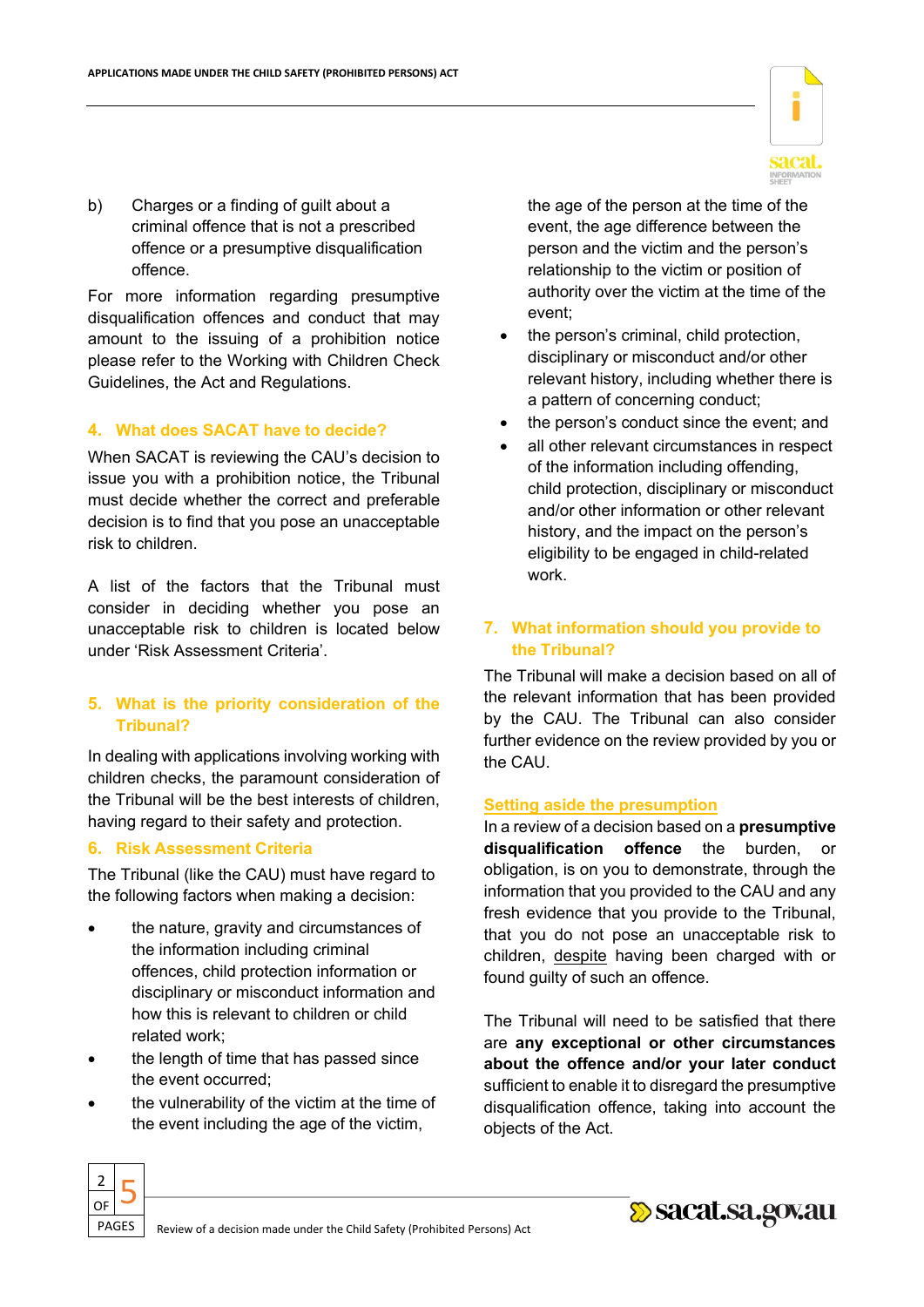b) Charges or a finding of guilt about a criminal offence that is not a prescribed offence or a presumptive disqualification offence.

For more information regarding presumptive disqualification offences and conduct that may amount to the issuing of a prohibition notice please refer to the Working with Children Check Guidelines, the Act and Regulations.

#### **4. What does SACAT have to decide?**

When SACAT is reviewing the CAU's decision to issue you with a prohibition notice, the Tribunal must decide whether the correct and preferable decision is to find that you pose an unacceptable risk to children.

A list of the factors that the Tribunal must consider in deciding whether you pose an unacceptable risk to children is located below under 'Risk Assessment Criteria'.

# **5. What is the priority consideration of the Tribunal?**

In dealing with applications involving working with children checks, the paramount consideration of the Tribunal will be the best interests of children, having regard to their safety and protection.

#### **6. Risk Assessment Criteria**

The Tribunal (like the CAU) must have regard to the following factors when making a decision:

- the nature, gravity and circumstances of the information including criminal offences, child protection information or disciplinary or misconduct information and how this is relevant to children or child related work;
- the length of time that has passed since the event occurred;
- the vulnerability of the victim at the time of the event including the age of the victim,



the age of the person at the time of the event, the age difference between the person and the victim and the person's relationship to the victim or position of authority over the victim at the time of the event;

- the person's criminal, child protection. disciplinary or misconduct and/or other relevant history, including whether there is a pattern of concerning conduct;
- the person's conduct since the event; and
- all other relevant circumstances in respect of the information including offending, child protection, disciplinary or misconduct and/or other information or other relevant history, and the impact on the person's eligibility to be engaged in child-related work.

#### **7. What information should you provide to the Tribunal?**

The Tribunal will make a decision based on all of the relevant information that has been provided by the CAU. The Tribunal can also consider further evidence on the review provided by you or the CAU.

#### **Setting aside the presumption**

In a review of a decision based on a **presumptive disqualification offence** the burden, or obligation, is on you to demonstrate, through the information that you provided to the CAU and any fresh evidence that you provide to the Tribunal, that you do not pose an unacceptable risk to children, despite having been charged with or found guilty of such an offence.

The Tribunal will need to be satisfied that there are **any exceptional or other circumstances about the offence and/or your later conduct** sufficient to enable it to disregard the presumptive disqualification offence, taking into account the objects of the Act.



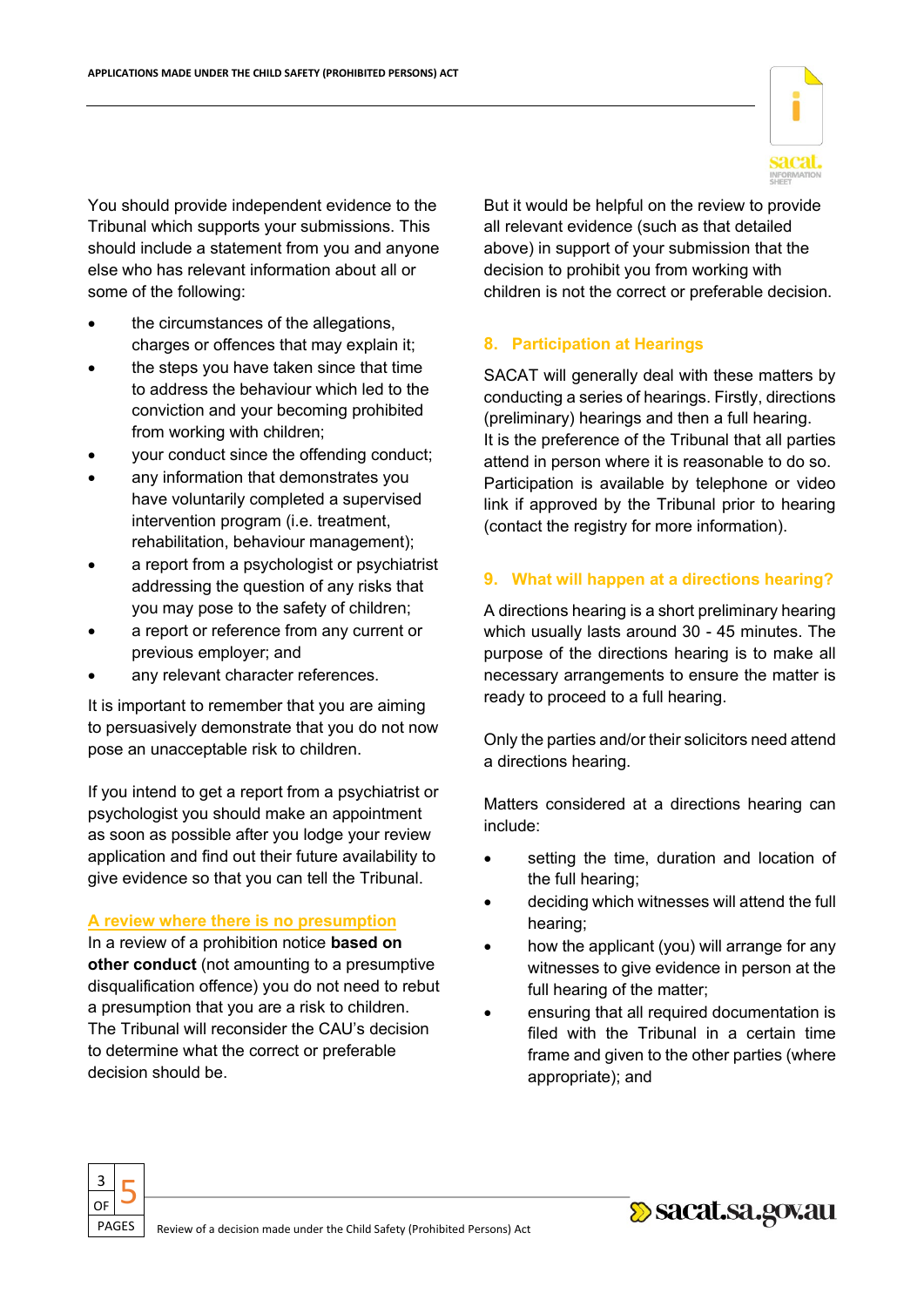You should provide independent evidence to the Tribunal which supports your submissions. This should include a statement from you and anyone else who has relevant information about all or some of the following:

- the circumstances of the allegations, charges or offences that may explain it;
- the steps you have taken since that time to address the behaviour which led to the conviction and your becoming prohibited from working with children;
- your conduct since the offending conduct;
- any information that demonstrates you have voluntarily completed a supervised intervention program (i.e. treatment, rehabilitation, behaviour management);
- a report from a psychologist or psychiatrist addressing the question of any risks that you may pose to the safety of children;
- a report or reference from any current or previous employer; and
- any relevant character references.

It is important to remember that you are aiming to persuasively demonstrate that you do not now pose an unacceptable risk to children.

If you intend to get a report from a psychiatrist or psychologist you should make an appointment as soon as possible after you lodge your review application and find out their future availability to give evidence so that you can tell the Tribunal.

#### **A review where there is no presumption**

In a review of a prohibition notice **based on other conduct** (not amounting to a presumptive disqualification offence) you do not need to rebut a presumption that you are a risk to children. The Tribunal will reconsider the CAU's decision to determine what the correct or preferable decision should be.

But it would be helpful on the review to provide all relevant evidence (such as that detailed above) in support of your submission that the decision to prohibit you from working with children is not the correct or preferable decision.

#### **8. Participation at Hearings**

SACAT will generally deal with these matters by conducting a series of hearings. Firstly, directions (preliminary) hearings and then a full hearing. It is the preference of the Tribunal that all parties attend in person where it is reasonable to do so. Participation is available by telephone or video link if approved by the Tribunal prior to hearing (contact the registry for more information).

#### **9. What will happen at a directions hearing?**

A directions hearing is a short preliminary hearing which usually lasts around 30 - 45 minutes. The purpose of the directions hearing is to make all necessary arrangements to ensure the matter is ready to proceed to a full hearing.

Only the parties and/or their solicitors need attend a directions hearing.

Matters considered at a directions hearing can include:

- setting the time, duration and location of the full hearing;
- deciding which witnesses will attend the full hearing;
- how the applicant (you) will arrange for any witnesses to give evidence in person at the full hearing of the matter;
- ensuring that all required documentation is filed with the Tribunal in a certain time frame and given to the other parties (where appropriate); and





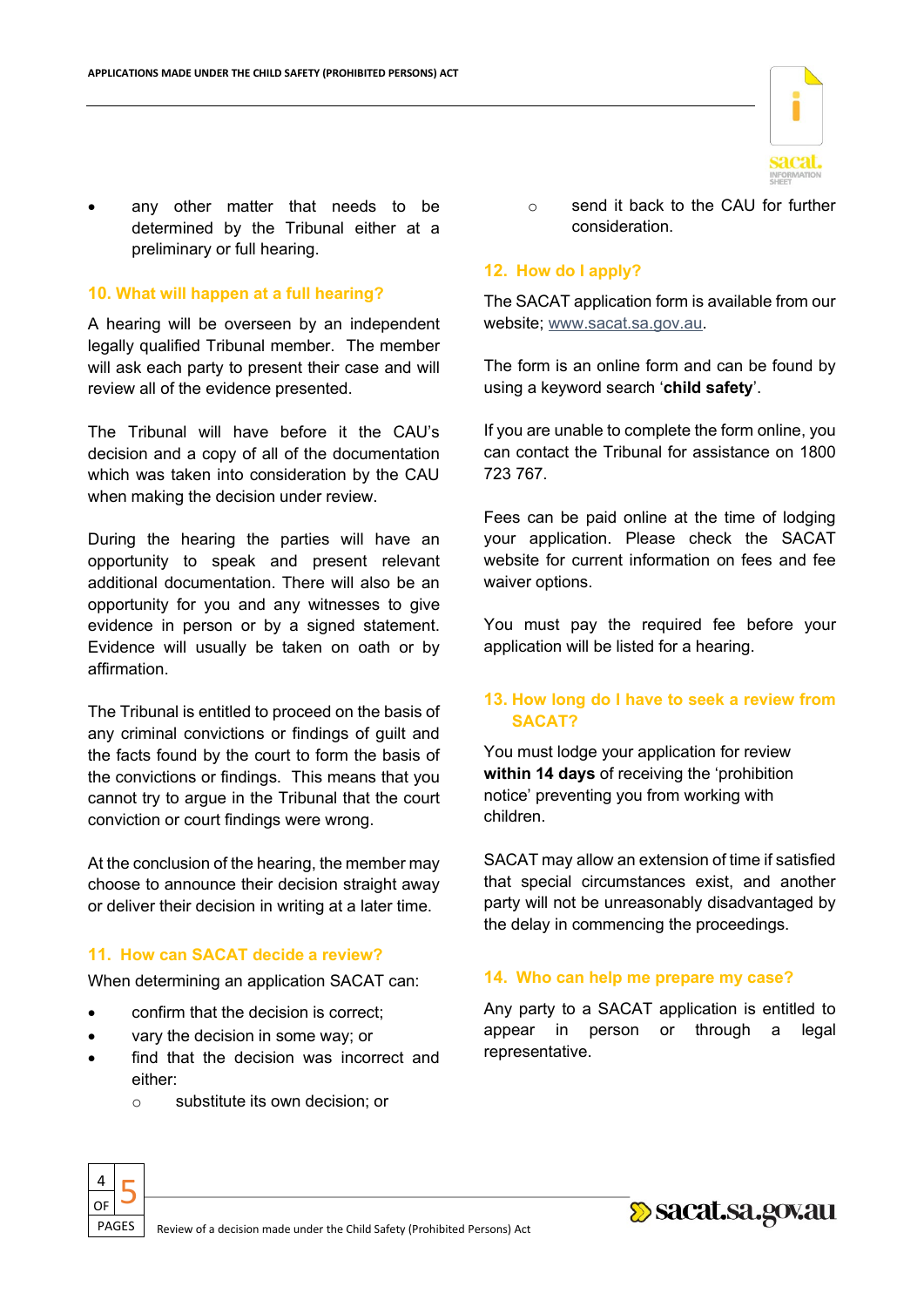

any other matter that needs to be determined by the Tribunal either at a preliminary or full hearing.

#### **10. What will happen at a full hearing?**

A hearing will be overseen by an independent legally qualified Tribunal member. The member will ask each party to present their case and will review all of the evidence presented.

The Tribunal will have before it the CAU's decision and a copy of all of the documentation which was taken into consideration by the CAU when making the decision under review.

During the hearing the parties will have an opportunity to speak and present relevant additional documentation. There will also be an opportunity for you and any witnesses to give evidence in person or by a signed statement. Evidence will usually be taken on oath or by affirmation.

The Tribunal is entitled to proceed on the basis of any criminal convictions or findings of guilt and the facts found by the court to form the basis of the convictions or findings. This means that you cannot try to argue in the Tribunal that the court conviction or court findings were wrong.

At the conclusion of the hearing, the member may choose to announce their decision straight away or deliver their decision in writing at a later time.

# **11. How can SACAT decide a review?**

When determining an application SACAT can:

- confirm that the decision is correct;
- vary the decision in some way; or
- find that the decision was incorrect and either:
	- o substitute its own decision; or

o send it back to the CAU for further consideration.

# **12. How do I apply?**

The SACAT application form is available from our website; [www.sacat.sa.gov.au.](http://www.sacat.sa.gov.au/)

The form is an online form and can be found by using a keyword search '**child safety**'.

If you are unable to complete the form online, you can contact the Tribunal for assistance on 1800 723 767.

Fees can be paid online at the time of lodging your application. Please check the SACAT website for current information on fees and fee waiver options.

You must pay the required fee before your application will be listed for a hearing.

# **13. How long do I have to seek a review from SACAT?**

You must lodge your application for review **within 14 days** of receiving the 'prohibition notice' preventing you from working with children.

SACAT may allow an extension of time if satisfied that special circumstances exist, and another party will not be unreasonably disadvantaged by the delay in commencing the proceedings.

# **14. Who can help me prepare my case?**

Any party to a SACAT application is entitled to appear in person or through a legal representative.